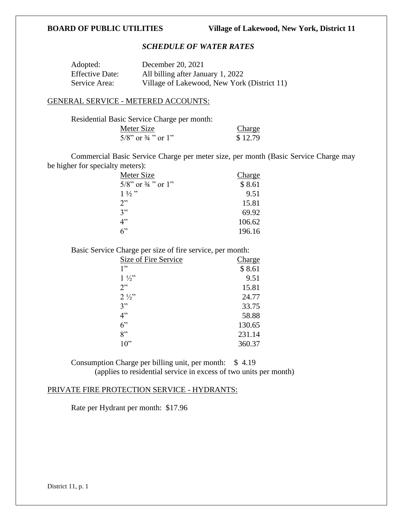# *SCHEDULE OF WATER RATES*

| Adopted:               | December 20, 2021                           |
|------------------------|---------------------------------------------|
| <b>Effective Date:</b> | All billing after January 1, 2022           |
| Service Area:          | Village of Lakewood, New York (District 11) |

### GENERAL SERVICE - METERED ACCOUNTS:

| Residential Basic Service Charge per month: |         |
|---------------------------------------------|---------|
| Meter Size                                  | Charge  |
| $5/8$ " or $\frac{3}{4}$ " or 1"            | \$12.79 |

Commercial Basic Service Charge per meter size, per month (Basic Service Charge may be higher for specialty meters):

| Meter Size                       | Charge |
|----------------------------------|--------|
| $5/8$ " or $\frac{3}{4}$ " or 1" | \$8.61 |
| $1\frac{1}{2}$ "                 | 9.51   |
| 2"                               | 15.81  |
| 3"                               | 69.92  |
| 4"                               | 106.62 |
| 6                                | 196.16 |

Basic Service Charge per size of fire service, per month:

| Size of Fire Service | <b>Charge</b> |
|----------------------|---------------|
| 1"                   | \$8.61        |
| $1\frac{1}{2}$       | 9.51          |
| 2"                   | 15.81         |
| $2\frac{1}{2}$       | 24.77         |
| 3"                   | 33.75         |
| 4"                   | 58.88         |
| $6$ "                | 130.65        |
| 8"                   | 231.14        |
| 10"                  | 360.37        |

Consumption Charge per billing unit, per month: \$ 4.19 (applies to residential service in excess of two units per month)

## PRIVATE FIRE PROTECTION SERVICE - HYDRANTS:

Rate per Hydrant per month: \$17.96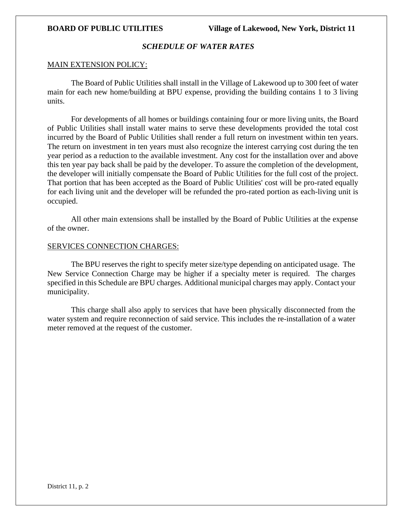## *SCHEDULE OF WATER RATES*

### MAIN EXTENSION POLICY:

The Board of Public Utilities shall install in the Village of Lakewood up to 300 feet of water main for each new home/building at BPU expense, providing the building contains 1 to 3 living units.

For developments of all homes or buildings containing four or more living units, the Board of Public Utilities shall install water mains to serve these developments provided the total cost incurred by the Board of Public Utilities shall render a full return on investment within ten years. The return on investment in ten years must also recognize the interest carrying cost during the ten year period as a reduction to the available investment. Any cost for the installation over and above this ten year pay back shall be paid by the developer. To assure the completion of the development, the developer will initially compensate the Board of Public Utilities for the full cost of the project. That portion that has been accepted as the Board of Public Utilities' cost will be pro-rated equally for each living unit and the developer will be refunded the pro-rated portion as each-living unit is occupied.

All other main extensions shall be installed by the Board of Public Utilities at the expense of the owner.

### SERVICES CONNECTION CHARGES:

The BPU reserves the right to specify meter size/type depending on anticipated usage. The New Service Connection Charge may be higher if a specialty meter is required. The charges specified in this Schedule are BPU charges. Additional municipal charges may apply. Contact your municipality.

This charge shall also apply to services that have been physically disconnected from the water system and require reconnection of said service. This includes the re-installation of a water meter removed at the request of the customer.